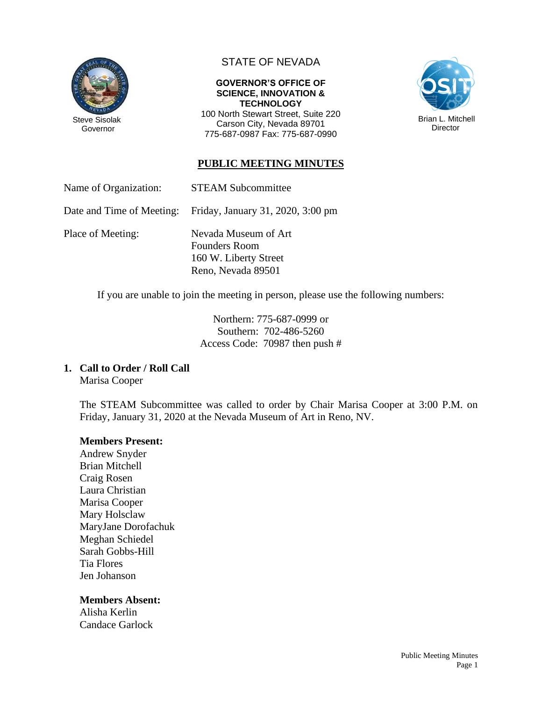

## STATE OF NEVADA

#### **GOVERNOR'S OFFICE OF SCIENCE, INNOVATION & TECHNOLOGY**

100 North Stewart Street, Suite 220 Carson City, Nevada 89701 775-687-0987 Fax: 775-687-0990



## **PUBLIC MEETING MINUTES**

Name of Organization: STEAM Subcommittee

Date and Time of Meeting: Friday, January 31, 2020, 3:00 pm

Place of Meeting: Nevada Museum of Art Founders Room 160 W. Liberty Street Reno, Nevada 89501

If you are unable to join the meeting in person, please use the following numbers:

Northern: 775-687-0999 or Southern: 702-486-5260 Access Code: 70987 then push #

### **1. Call to Order / Roll Call**

Marisa Cooper

The STEAM Subcommittee was called to order by Chair Marisa Cooper at 3:00 P.M. on Friday, January 31, 2020 at the Nevada Museum of Art in Reno, NV.

### **Members Present:**

Andrew Snyder Brian Mitchell Craig Rosen Laura Christian Marisa Cooper Mary Holsclaw MaryJane Dorofachuk Meghan Schiedel Sarah Gobbs-Hill Tia Flores Jen Johanson

### **Members Absent:**

Alisha Kerlin Candace Garlock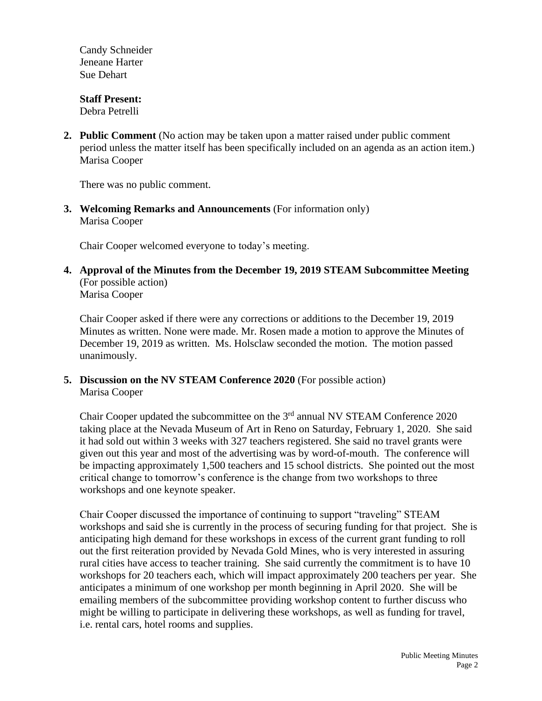Candy Schneider Jeneane Harter Sue Dehart

# **Staff Present:**

Debra Petrelli

**2. Public Comment** (No action may be taken upon a matter raised under public comment period unless the matter itself has been specifically included on an agenda as an action item.) Marisa Cooper

There was no public comment.

**3. Welcoming Remarks and Announcements** (For information only) Marisa Cooper

Chair Cooper welcomed everyone to today's meeting.

**4. Approval of the Minutes from the December 19, 2019 STEAM Subcommittee Meeting** (For possible action) Marisa Cooper

Chair Cooper asked if there were any corrections or additions to the December 19, 2019 Minutes as written. None were made. Mr. Rosen made a motion to approve the Minutes of December 19, 2019 as written. Ms. Holsclaw seconded the motion. The motion passed unanimously.

**5. Discussion on the NV STEAM Conference 2020** (For possible action) Marisa Cooper

Chair Cooper updated the subcommittee on the  $3<sup>rd</sup>$  annual NV STEAM Conference 2020 taking place at the Nevada Museum of Art in Reno on Saturday, February 1, 2020. She said it had sold out within 3 weeks with 327 teachers registered. She said no travel grants were given out this year and most of the advertising was by word-of-mouth. The conference will be impacting approximately 1,500 teachers and 15 school districts. She pointed out the most critical change to tomorrow's conference is the change from two workshops to three workshops and one keynote speaker.

Chair Cooper discussed the importance of continuing to support "traveling" STEAM workshops and said she is currently in the process of securing funding for that project. She is anticipating high demand for these workshops in excess of the current grant funding to roll out the first reiteration provided by Nevada Gold Mines, who is very interested in assuring rural cities have access to teacher training. She said currently the commitment is to have 10 workshops for 20 teachers each, which will impact approximately 200 teachers per year. She anticipates a minimum of one workshop per month beginning in April 2020. She will be emailing members of the subcommittee providing workshop content to further discuss who might be willing to participate in delivering these workshops, as well as funding for travel, i.e. rental cars, hotel rooms and supplies.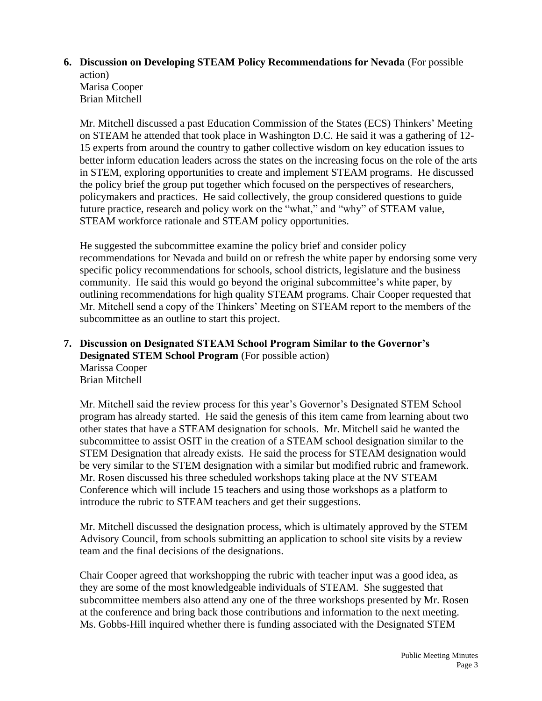### **6. Discussion on Developing STEAM Policy Recommendations for Nevada** (For possible action)

Marisa Cooper Brian Mitchell

Mr. Mitchell discussed a past Education Commission of the States (ECS) Thinkers' Meeting on STEAM he attended that took place in Washington D.C. He said it was a gathering of 12- 15 experts from around the country to gather collective wisdom on key education issues to better inform education leaders across the states on the increasing focus on the role of the arts in STEM, exploring opportunities to create and implement STEAM programs. He discussed the policy brief the group put together which focused on the perspectives of researchers, policymakers and practices. He said collectively, the group considered questions to guide future practice, research and policy work on the "what," and "why" of STEAM value, STEAM workforce rationale and STEAM policy opportunities.

He suggested the subcommittee examine the policy brief and consider policy recommendations for Nevada and build on or refresh the white paper by endorsing some very specific policy recommendations for schools, school districts, legislature and the business community. He said this would go beyond the original subcommittee's white paper, by outlining recommendations for high quality STEAM programs. Chair Cooper requested that Mr. Mitchell send a copy of the Thinkers' Meeting on STEAM report to the members of the subcommittee as an outline to start this project.

### **7. Discussion on Designated STEAM School Program Similar to the Governor's Designated STEM School Program** (For possible action) Marissa Cooper Brian Mitchell

Mr. Mitchell said the review process for this year's Governor's Designated STEM School program has already started. He said the genesis of this item came from learning about two other states that have a STEAM designation for schools. Mr. Mitchell said he wanted the subcommittee to assist OSIT in the creation of a STEAM school designation similar to the STEM Designation that already exists. He said the process for STEAM designation would be very similar to the STEM designation with a similar but modified rubric and framework. Mr. Rosen discussed his three scheduled workshops taking place at the NV STEAM Conference which will include 15 teachers and using those workshops as a platform to introduce the rubric to STEAM teachers and get their suggestions.

Mr. Mitchell discussed the designation process, which is ultimately approved by the STEM Advisory Council, from schools submitting an application to school site visits by a review team and the final decisions of the designations.

Chair Cooper agreed that workshopping the rubric with teacher input was a good idea, as they are some of the most knowledgeable individuals of STEAM. She suggested that subcommittee members also attend any one of the three workshops presented by Mr. Rosen at the conference and bring back those contributions and information to the next meeting. Ms. Gobbs-Hill inquired whether there is funding associated with the Designated STEM